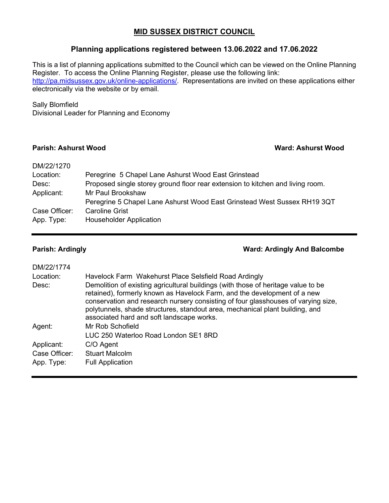### **MID SUSSEX DISTRICT COUNCIL**

### **Planning applications registered between 13.06.2022 and 17.06.2022**

This is a list of planning applications submitted to the Council which can be viewed on the Online Planning Register. To access the Online Planning Register, please use the following link: [http://pa.midsussex.gov.uk/online-applications/.](http://pa.midsussex.gov.uk/online-applications/) Representations are invited on these applications either electronically via the website or by email.

### Sally Blomfield

Divisional Leader for Planning and Economy

### **Parish: Ashurst Wood Ward: Ashurst Wood**

| DM/22/1270    |                                                                                |
|---------------|--------------------------------------------------------------------------------|
| Location:     | Peregrine 5 Chapel Lane Ashurst Wood East Grinstead                            |
| Desc:         | Proposed single storey ground floor rear extension to kitchen and living room. |
| Applicant:    | Mr Paul Brookshaw                                                              |
|               | Peregrine 5 Chapel Lane Ashurst Wood East Grinstead West Sussex RH19 3QT       |
| Case Officer: | Caroline Grist                                                                 |
| App. Type:    | <b>Householder Application</b>                                                 |

### **Parish: Ardingly Ward: Ardingly And Balcombe**

| DM/22/1774    |                                                                                                                                                                                                                                                                                                                                                                                 |
|---------------|---------------------------------------------------------------------------------------------------------------------------------------------------------------------------------------------------------------------------------------------------------------------------------------------------------------------------------------------------------------------------------|
| Location:     | Havelock Farm Wakehurst Place Selsfield Road Ardingly                                                                                                                                                                                                                                                                                                                           |
| Desc:         | Demolition of existing agricultural buildings (with those of heritage value to be<br>retained), formerly known as Havelock Farm, and the development of a new<br>conservation and research nursery consisting of four glasshouses of varying size,<br>polytunnels, shade structures, standout area, mechanical plant building, and<br>associated hard and soft landscape works. |
| Agent:        | Mr Rob Schofield                                                                                                                                                                                                                                                                                                                                                                |
|               | LUC 250 Waterloo Road London SE1 8RD                                                                                                                                                                                                                                                                                                                                            |
| Applicant:    | C/O Agent                                                                                                                                                                                                                                                                                                                                                                       |
| Case Officer: | <b>Stuart Malcolm</b>                                                                                                                                                                                                                                                                                                                                                           |
| App. Type:    | <b>Full Application</b>                                                                                                                                                                                                                                                                                                                                                         |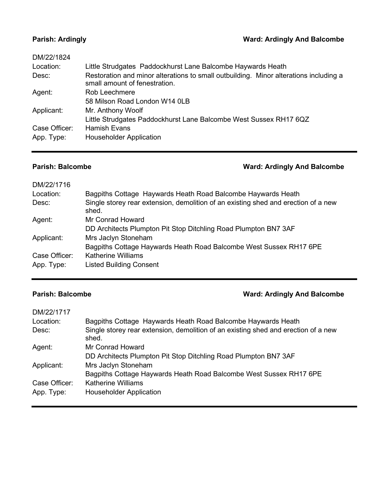# **Parish: Ardingly Ward: Ardingly And Balcombe**

| DM/22/1824    |                                                                                                                        |
|---------------|------------------------------------------------------------------------------------------------------------------------|
| Location:     | Little Strudgates Paddockhurst Lane Balcombe Haywards Heath                                                            |
| Desc:         | Restoration and minor alterations to small outbuilding. Minor alterations including a<br>small amount of fenestration. |
| Agent:        | Rob Leechmere                                                                                                          |
|               | 58 Milson Road London W14 0LB                                                                                          |
| Applicant:    | Mr. Anthony Woolf                                                                                                      |
|               | Little Strudgates Paddockhurst Lane Balcombe West Sussex RH17 6QZ                                                      |
| Case Officer: | <b>Hamish Evans</b>                                                                                                    |
| App. Type:    | <b>Householder Application</b>                                                                                         |
|               |                                                                                                                        |

# **Parish: Balcombe Ward: Ardingly And Balcombe**

| DM/22/1716    |                                                                                             |
|---------------|---------------------------------------------------------------------------------------------|
| Location:     | Bagpiths Cottage Haywards Heath Road Balcombe Haywards Heath                                |
| Desc:         | Single storey rear extension, demolition of an existing shed and erection of a new<br>shed. |
| Agent:        | Mr Conrad Howard                                                                            |
|               | DD Architects Plumpton Pit Stop Ditchling Road Plumpton BN7 3AF                             |
| Applicant:    | Mrs Jaclyn Stoneham                                                                         |
|               | Bagpiths Cottage Haywards Heath Road Balcombe West Sussex RH17 6PE                          |
| Case Officer: | <b>Katherine Williams</b>                                                                   |
| App. Type:    | <b>Listed Building Consent</b>                                                              |

# **Parish: Balcombe Ward: Ardingly And Balcombe**

| DM/22/1717    |                                                                                             |
|---------------|---------------------------------------------------------------------------------------------|
| Location:     | Bagpiths Cottage Haywards Heath Road Balcombe Haywards Heath                                |
| Desc:         | Single storey rear extension, demolition of an existing shed and erection of a new<br>shed. |
| Agent:        | Mr Conrad Howard                                                                            |
|               | DD Architects Plumpton Pit Stop Ditchling Road Plumpton BN7 3AF                             |
| Applicant:    | Mrs Jaclyn Stoneham                                                                         |
|               | Bagpiths Cottage Haywards Heath Road Balcombe West Sussex RH17 6PE                          |
| Case Officer: | <b>Katherine Williams</b>                                                                   |
| App. Type:    | <b>Householder Application</b>                                                              |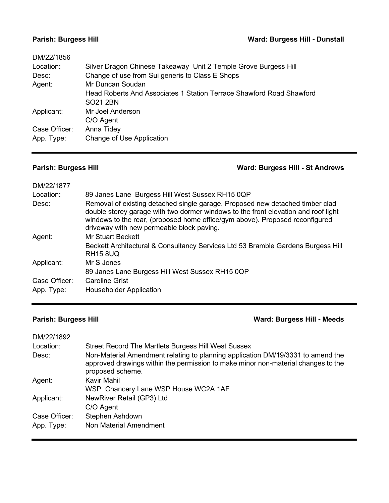| DM/22/1856    |                                                                      |
|---------------|----------------------------------------------------------------------|
| Location:     | Silver Dragon Chinese Takeaway Unit 2 Temple Grove Burgess Hill      |
| Desc:         | Change of use from Sui generis to Class E Shops                      |
| Agent:        | Mr Duncan Soudan                                                     |
|               | Head Roberts And Associates 1 Station Terrace Shawford Road Shawford |
|               | SO <sub>21</sub> 2BN                                                 |
| Applicant:    | Mr Joel Anderson                                                     |
|               | C/O Agent                                                            |
| Case Officer: | Anna Tidey                                                           |
| App. Type:    | Change of Use Application                                            |
|               |                                                                      |

### **Parish: Burgess Hill Ward: Burgess Hill - St Andrews**

| DM/22/1877    |                                                                                                                                                                                                                                                                                                  |
|---------------|--------------------------------------------------------------------------------------------------------------------------------------------------------------------------------------------------------------------------------------------------------------------------------------------------|
| Location:     | 89 Janes Lane Burgess Hill West Sussex RH15 0QP                                                                                                                                                                                                                                                  |
| Desc:         | Removal of existing detached single garage. Proposed new detached timber clad<br>double storey garage with two dormer windows to the front elevation and roof light<br>windows to the rear, (proposed home office/gym above). Proposed reconfigured<br>driveway with new permeable block paving. |
| Agent:        | <b>Mr Stuart Beckett</b>                                                                                                                                                                                                                                                                         |
|               | Beckett Architectural & Consultancy Services Ltd 53 Bramble Gardens Burgess Hill<br><b>RH15 8UQ</b>                                                                                                                                                                                              |
| Applicant:    | Mr S Jones                                                                                                                                                                                                                                                                                       |
|               | 89 Janes Lane Burgess Hill West Sussex RH15 0QP                                                                                                                                                                                                                                                  |
| Case Officer: | <b>Caroline Grist</b>                                                                                                                                                                                                                                                                            |
| App. Type:    | <b>Householder Application</b>                                                                                                                                                                                                                                                                   |

# **Parish: Burgess Hill Ward: Burgess Hill - Meeds**

| DM/22/1892    |                                                                                                                                                                                          |
|---------------|------------------------------------------------------------------------------------------------------------------------------------------------------------------------------------------|
| Location:     | Street Record The Martlets Burgess Hill West Sussex                                                                                                                                      |
| Desc:         | Non-Material Amendment relating to planning application DM/19/3331 to amend the<br>approved drawings within the permission to make minor non-material changes to the<br>proposed scheme. |
| Agent:        | <b>Kavir Mahil</b>                                                                                                                                                                       |
|               | WSP Chancery Lane WSP House WC2A 1AF                                                                                                                                                     |
| Applicant:    | NewRiver Retail (GP3) Ltd                                                                                                                                                                |
|               | C/O Agent                                                                                                                                                                                |
| Case Officer: | Stephen Ashdown                                                                                                                                                                          |
| App. Type:    | Non Material Amendment                                                                                                                                                                   |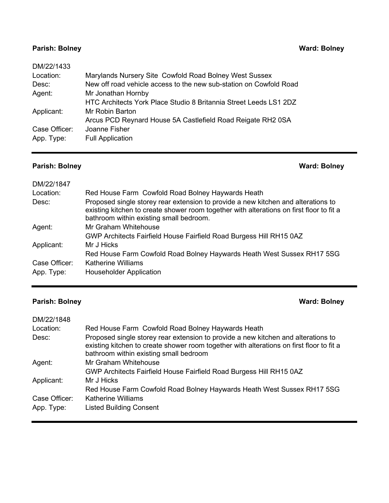## **Parish: Bolney Ward: Bolney**

| DM/22/1433    |                                                                    |
|---------------|--------------------------------------------------------------------|
| Location:     | Marylands Nursery Site Cowfold Road Bolney West Sussex             |
| Desc:         | New off road vehicle access to the new sub-station on Cowfold Road |
| Agent:        | Mr Jonathan Hornby                                                 |
|               | HTC Architects York Place Studio 8 Britannia Street Leeds LS1 2DZ  |
| Applicant:    | Mr Robin Barton                                                    |
|               | Arcus PCD Reynard House 5A Castlefield Road Reigate RH2 0SA        |
| Case Officer: | Joanne Fisher                                                      |
| App. Type:    | <b>Full Application</b>                                            |
|               |                                                                    |

# **Parish: Bolney Ward: Bolney**

| DM/22/1847    |                                                                                                                                                                                                                          |
|---------------|--------------------------------------------------------------------------------------------------------------------------------------------------------------------------------------------------------------------------|
| Location:     | Red House Farm Cowfold Road Bolney Haywards Heath                                                                                                                                                                        |
| Desc:         | Proposed single storey rear extension to provide a new kitchen and alterations to<br>existing kitchen to create shower room together with alterations on first floor to fit a<br>bathroom within existing small bedroom. |
| Agent:        | Mr Graham Whitehouse                                                                                                                                                                                                     |
|               | GWP Architects Fairfield House Fairfield Road Burgess Hill RH15 0AZ                                                                                                                                                      |
| Applicant:    | Mr J Hicks                                                                                                                                                                                                               |
|               | Red House Farm Cowfold Road Bolney Haywards Heath West Sussex RH17 5SG                                                                                                                                                   |
| Case Officer: | <b>Katherine Williams</b>                                                                                                                                                                                                |
| App. Type:    | <b>Householder Application</b>                                                                                                                                                                                           |

# **Parish: Bolney Ward: Bolney**

| DM/22/1848    |                                                                                                                                                                                                                         |
|---------------|-------------------------------------------------------------------------------------------------------------------------------------------------------------------------------------------------------------------------|
| Location:     | Red House Farm Cowfold Road Bolney Haywards Heath                                                                                                                                                                       |
| Desc:         | Proposed single storey rear extension to provide a new kitchen and alterations to<br>existing kitchen to create shower room together with alterations on first floor to fit a<br>bathroom within existing small bedroom |
| Agent:        | Mr Graham Whitehouse                                                                                                                                                                                                    |
|               | GWP Architects Fairfield House Fairfield Road Burgess Hill RH15 0AZ                                                                                                                                                     |
| Applicant:    | Mr J Hicks                                                                                                                                                                                                              |
|               | Red House Farm Cowfold Road Bolney Haywards Heath West Sussex RH17 5SG                                                                                                                                                  |
| Case Officer: | <b>Katherine Williams</b>                                                                                                                                                                                               |
| App. Type:    | <b>Listed Building Consent</b>                                                                                                                                                                                          |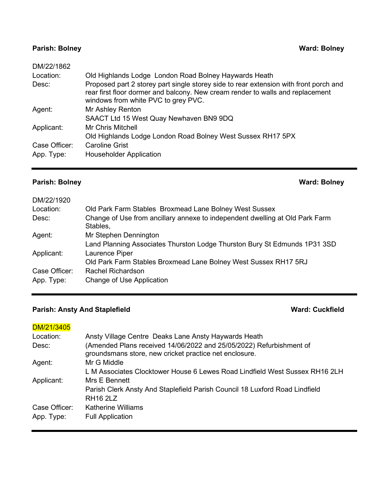# **Parish: Bolney Ward: Bolney**

| DM/22/1862    |                                                                                                                                                                                                                |
|---------------|----------------------------------------------------------------------------------------------------------------------------------------------------------------------------------------------------------------|
| Location:     | Old Highlands Lodge London Road Bolney Haywards Heath                                                                                                                                                          |
| Desc:         | Proposed part 2 storey part single storey side to rear extension with front porch and<br>rear first floor dormer and balcony. New cream render to walls and replacement<br>windows from white PVC to grey PVC. |
| Agent:        | Mr Ashley Renton                                                                                                                                                                                               |
|               | SAACT Ltd 15 West Quay Newhaven BN9 9DQ                                                                                                                                                                        |
| Applicant:    | <b>Mr Chris Mitchell</b>                                                                                                                                                                                       |
|               | Old Highlands Lodge London Road Bolney West Sussex RH17 5PX                                                                                                                                                    |
| Case Officer: | <b>Caroline Grist</b>                                                                                                                                                                                          |
| App. Type:    | <b>Householder Application</b>                                                                                                                                                                                 |
|               |                                                                                                                                                                                                                |

# **Parish: Bolney Ward: Bolney**

| DM/22/1920    |                                                                                          |
|---------------|------------------------------------------------------------------------------------------|
| Location:     | Old Park Farm Stables Broxmead Lane Bolney West Sussex                                   |
| Desc:         | Change of Use from ancillary annexe to independent dwelling at Old Park Farm<br>Stables, |
| Agent:        | Mr Stephen Dennington                                                                    |
|               | Land Planning Associates Thurston Lodge Thurston Bury St Edmunds 1P31 3SD                |
| Applicant:    | Laurence Piper                                                                           |
|               | Old Park Farm Stables Broxmead Lane Bolney West Sussex RH17 5RJ                          |
| Case Officer: | Rachel Richardson                                                                        |
| App. Type:    | Change of Use Application                                                                |
|               |                                                                                          |

# **Parish: Ansty And Staplefield <b>Ward: Cuckfield Ward: Cuckfield**

| DM/21/3405    |                                                                                                                               |
|---------------|-------------------------------------------------------------------------------------------------------------------------------|
| Location:     | Ansty Village Centre Deaks Lane Ansty Haywards Heath                                                                          |
| Desc:         | (Amended Plans received 14/06/2022 and 25/05/2022) Refurbishment of<br>groundsmans store, new cricket practice net enclosure. |
| Agent:        | Mr G Middle                                                                                                                   |
|               | L M Associates Clocktower House 6 Lewes Road Lindfield West Sussex RH16 2LH                                                   |
| Applicant:    | Mrs E Bennett                                                                                                                 |
|               | Parish Clerk Ansty And Staplefield Parish Council 18 Luxford Road Lindfield                                                   |
|               | <b>RH16 2LZ</b>                                                                                                               |
| Case Officer: | Katherine Williams                                                                                                            |
| App. Type:    | <b>Full Application</b>                                                                                                       |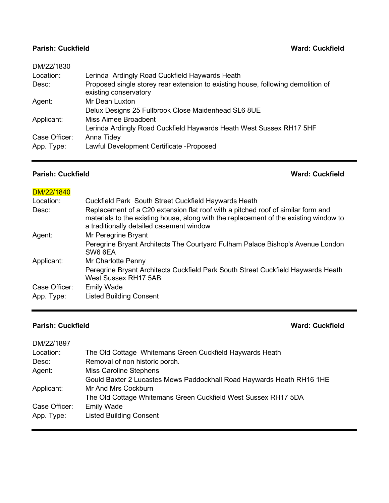### **Parish: Cuckfield Ward: Cuckfield**

| DM/22/1830    |                                                                                                           |
|---------------|-----------------------------------------------------------------------------------------------------------|
| Location:     | Lerinda Ardingly Road Cuckfield Haywards Heath                                                            |
| Desc:         | Proposed single storey rear extension to existing house, following demolition of<br>existing conservatory |
| Agent:        | Mr Dean Luxton                                                                                            |
|               | Delux Designs 25 Fullbrook Close Maidenhead SL6 8UE                                                       |
| Applicant:    | Miss Aimee Broadbent                                                                                      |
|               | Lerinda Ardingly Road Cuckfield Haywards Heath West Sussex RH17 5HF                                       |
| Case Officer: | Anna Tidey                                                                                                |
| App. Type:    | Lawful Development Certificate - Proposed                                                                 |
|               |                                                                                                           |

### **Parish: Cuckfield Ward: Cuckfield**

| DM/22/1840    |                                                                                                                                                                                                                       |
|---------------|-----------------------------------------------------------------------------------------------------------------------------------------------------------------------------------------------------------------------|
| Location:     | Cuckfield Park South Street Cuckfield Haywards Heath                                                                                                                                                                  |
| Desc:         | Replacement of a C20 extension flat roof with a pitched roof of similar form and<br>materials to the existing house, along with the replacement of the existing window to<br>a traditionally detailed casement window |
| Agent:        | Mr Peregrine Bryant                                                                                                                                                                                                   |
|               | Peregrine Bryant Architects The Courtyard Fulham Palace Bishop's Avenue London<br>SW6 6EA                                                                                                                             |
| Applicant:    | Mr Charlotte Penny                                                                                                                                                                                                    |
|               | Peregrine Bryant Architects Cuckfield Park South Street Cuckfield Haywards Heath<br><b>West Sussex RH17 5AB</b>                                                                                                       |
| Case Officer: | <b>Emily Wade</b>                                                                                                                                                                                                     |
| App. Type:    | <b>Listed Building Consent</b>                                                                                                                                                                                        |
|               |                                                                                                                                                                                                                       |

### **Parish: Cuckfield Ward: Cuckfield**

| DM/22/1897    |                                                                       |
|---------------|-----------------------------------------------------------------------|
| Location:     | The Old Cottage Whitemans Green Cuckfield Haywards Heath              |
| Desc:         | Removal of non historic porch.                                        |
| Agent:        | <b>Miss Caroline Stephens</b>                                         |
|               | Gould Baxter 2 Lucastes Mews Paddockhall Road Haywards Heath RH16 1HE |
| Applicant:    | Mr And Mrs Cockburn                                                   |
|               | The Old Cottage Whitemans Green Cuckfield West Sussex RH17 5DA        |
| Case Officer: | <b>Emily Wade</b>                                                     |
| App. Type:    | <b>Listed Building Consent</b>                                        |
|               |                                                                       |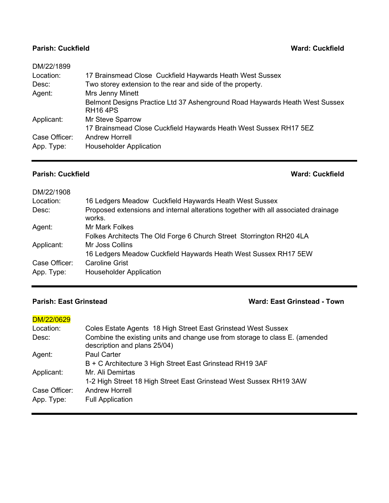### **Parish: Cuckfield Ward: Cuckfield**

| DM/22/1899    |                                                                                               |
|---------------|-----------------------------------------------------------------------------------------------|
| Location:     | 17 Brainsmead Close Cuckfield Haywards Heath West Sussex                                      |
| Desc:         | Two storey extension to the rear and side of the property.                                    |
| Agent:        | Mrs Jenny Minett                                                                              |
|               | Belmont Designs Practice Ltd 37 Ashenground Road Haywards Heath West Sussex<br><b>RH164PS</b> |
| Applicant:    | Mr Steve Sparrow                                                                              |
|               | 17 Brainsmead Close Cuckfield Haywards Heath West Sussex RH17 5EZ                             |
| Case Officer: | <b>Andrew Horrell</b>                                                                         |
| App. Type:    | <b>Householder Application</b>                                                                |

### **Parish: Cuckfield Ward: Cuckfield**

| DM/22/1908    |                                                                                              |
|---------------|----------------------------------------------------------------------------------------------|
| Location:     | 16 Ledgers Meadow Cuckfield Haywards Heath West Sussex                                       |
| Desc:         | Proposed extensions and internal alterations together with all associated drainage<br>works. |
| Agent:        | Mr Mark Folkes                                                                               |
|               | Folkes Architects The Old Forge 6 Church Street Storrington RH20 4LA                         |
| Applicant:    | Mr Joss Collins                                                                              |
|               | 16 Ledgers Meadow Cuckfield Haywards Heath West Sussex RH17 5EW                              |
| Case Officer: | <b>Caroline Grist</b>                                                                        |
| App. Type:    | <b>Householder Application</b>                                                               |
|               |                                                                                              |

### **Parish: East Grinstead Ward: East Grinstead - Town**

### DM/22/0629

| Location:<br>Desc: | Coles Estate Agents 18 High Street East Grinstead West Sussex<br>Combine the existing units and change use from storage to class E. (amended |
|--------------------|----------------------------------------------------------------------------------------------------------------------------------------------|
|                    | description and plans 25/04)                                                                                                                 |
| Agent:             | <b>Paul Carter</b>                                                                                                                           |
|                    | B + C Architecture 3 High Street East Grinstead RH19 3AF                                                                                     |
| Applicant:         | Mr. Ali Demirtas                                                                                                                             |
|                    | 1-2 High Street 18 High Street East Grinstead West Sussex RH19 3AW                                                                           |
| Case Officer:      | <b>Andrew Horrell</b>                                                                                                                        |
| App. Type:         | <b>Full Application</b>                                                                                                                      |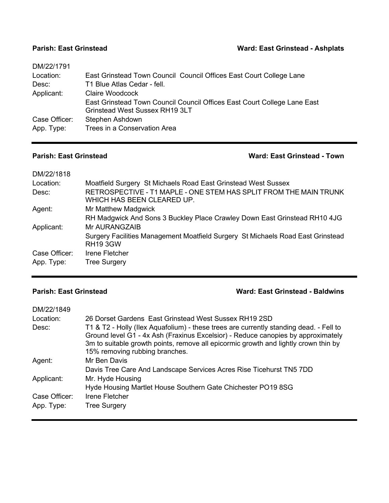### **Parish: East Grinstead Ward: East Grinstead - Ashplats**

| DM/22/1791    |                                                                          |
|---------------|--------------------------------------------------------------------------|
| Location:     | East Grinstead Town Council Council Offices East Court College Lane      |
| Desc:         | T1 Blue Atlas Cedar - fell.                                              |
| Applicant:    | Claire Woodcock                                                          |
|               | East Grinstead Town Council Council Offices East Court College Lane East |
|               | <b>Grinstead West Sussex RH19 3LT</b>                                    |
| Case Officer: | Stephen Ashdown                                                          |
| App. Type:    | Trees in a Conservation Area                                             |
|               |                                                                          |

# **Parish: East Grinstead Ward: East Grinstead - Town**

| DM/22/1818    |                                                                                                    |
|---------------|----------------------------------------------------------------------------------------------------|
| Location:     | Moatfield Surgery St Michaels Road East Grinstead West Sussex                                      |
| Desc:         | RETROSPECTIVE - T1 MAPLE - ONE STEM HAS SPLIT FROM THE MAIN TRUNK<br>WHICH HAS BEEN CLEARED UP.    |
| Agent:        | Mr Matthew Madgwick                                                                                |
|               | RH Madgwick And Sons 3 Buckley Place Crawley Down East Grinstead RH10 4JG                          |
| Applicant:    | Mr AURANGZAIB                                                                                      |
|               | Surgery Facilities Management Moatfield Surgery St Michaels Road East Grinstead<br><b>RH19 3GW</b> |
| Case Officer: | Irene Fletcher                                                                                     |
| App. Type:    | <b>Tree Surgery</b>                                                                                |

# **Parish: East Grinstead Ward: East Grinstead - Baldwins**

| DM/22/1849    |                                                                                                                                                                            |
|---------------|----------------------------------------------------------------------------------------------------------------------------------------------------------------------------|
| Location:     | 26 Dorset Gardens East Grinstead West Sussex RH19 2SD                                                                                                                      |
| Desc:         | T1 & T2 - Holly (Ilex Aquafolium) - these trees are currently standing dead. - Fell to<br>Ground level G1 - 4x Ash (Fraxinus Excelsior) - Reduce canopies by approximately |
|               | 3m to suitable growth points, remove all epicormic growth and lightly crown thin by<br>15% removing rubbing branches.                                                      |
| Agent:        | Mr Ben Davis                                                                                                                                                               |
|               | Davis Tree Care And Landscape Services Acres Rise Ticehurst TN5 7DD                                                                                                        |
| Applicant:    | Mr. Hyde Housing                                                                                                                                                           |
|               | Hyde Housing Martlet House Southern Gate Chichester PO19 8SG                                                                                                               |
| Case Officer: | Irene Fletcher                                                                                                                                                             |
| App. Type:    | <b>Tree Surgery</b>                                                                                                                                                        |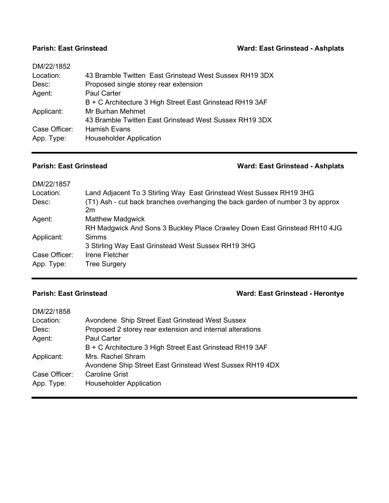### **Parish: East Grinstead Ward: East Grinstead - Ashplats**

| DM/22/1852    |                                                          |
|---------------|----------------------------------------------------------|
| Location:     | 43 Bramble Twitten East Grinstead West Sussex RH19 3DX   |
| Desc:         | Proposed single storey rear extension                    |
| Agent:        | <b>Paul Carter</b>                                       |
|               | B + C Architecture 3 High Street East Grinstead RH19 3AF |
| Applicant:    | Mr Burhan Mehmet                                         |
|               | 43 Bramble Twitten East Grinstead West Sussex RH19 3DX   |
| Case Officer: | <b>Hamish Evans</b>                                      |
| App. Type:    | <b>Householder Application</b>                           |
|               |                                                          |

# **Parish: East Grinstead Ward: East Grinstead - Ashplats**

| DM/22/1857    |                                                                                      |
|---------------|--------------------------------------------------------------------------------------|
| Location:     | Land Adjacent To 3 Stirling Way East Grinstead West Sussex RH19 3HG                  |
| Desc:         | (T1) Ash - cut back branches overhanging the back garden of number 3 by approx<br>2m |
| Agent:        | <b>Matthew Madgwick</b>                                                              |
|               | RH Madgwick And Sons 3 Buckley Place Crawley Down East Grinstead RH10 4JG            |
| Applicant:    | <b>Simms</b>                                                                         |
|               | 3 Stirling Way East Grinstead West Sussex RH19 3HG                                   |
| Case Officer: | Irene Fletcher                                                                       |
| App. Type:    | <b>Tree Surgery</b>                                                                  |

# **Parish: East Grinstead Ward: East Grinstead - Herontye**

| DM/22/1858    |                                                           |
|---------------|-----------------------------------------------------------|
| Location:     | Avondene Ship Street East Grinstead West Sussex           |
| Desc:         | Proposed 2 storey rear extension and internal alterations |
| Agent:        | <b>Paul Carter</b>                                        |
|               | B + C Architecture 3 High Street East Grinstead RH19 3AF  |
| Applicant:    | Mrs. Rachel Shram                                         |
|               | Avondene Ship Street East Grinstead West Sussex RH19 4DX  |
| Case Officer: | Caroline Grist                                            |
| App. Type:    | <b>Householder Application</b>                            |
|               |                                                           |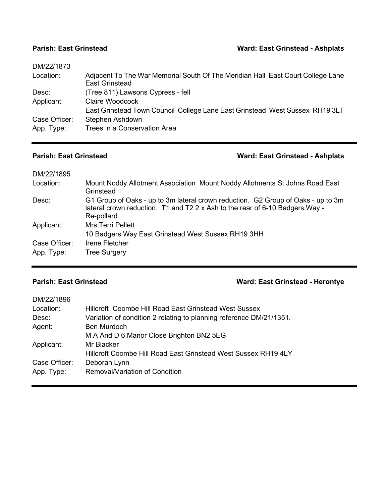### **Parish: East Grinstead Ward: East Grinstead - Ashplats**

| DM/22/1873    |                                                                                                          |
|---------------|----------------------------------------------------------------------------------------------------------|
| Location:     | Adjacent To The War Memorial South Of The Meridian Hall East Court College Lane<br><b>East Grinstead</b> |
| Desc:         | (Tree 811) Lawsons Cypress - fell                                                                        |
| Applicant:    | <b>Claire Woodcock</b>                                                                                   |
|               | East Grinstead Town Council College Lane East Grinstead West Sussex RH19 3LT                             |
| Case Officer: | Stephen Ashdown                                                                                          |
| App. Type:    | Trees in a Conservation Area                                                                             |
|               |                                                                                                          |

# **Parish: East Grinstead Ward: East Grinstead - Ashplats**

| DM/22/1895                  |                                                                                                                                                                                 |
|-----------------------------|---------------------------------------------------------------------------------------------------------------------------------------------------------------------------------|
| Location:                   | Mount Noddy Allotment Association Mount Noddy Allotments St Johns Road East<br>Grinstead                                                                                        |
| Desc:                       | G1 Group of Oaks - up to 3m lateral crown reduction. G2 Group of Oaks - up to 3m<br>lateral crown reduction. T1 and T2 2 x Ash to the rear of 6-10 Badgers Way -<br>Re-pollard. |
| Applicant:                  | Mrs Terri Pellett<br>10 Badgers Way East Grinstead West Sussex RH19 3HH                                                                                                         |
| Case Officer:<br>App. Type: | Irene Fletcher<br><b>Tree Surgery</b>                                                                                                                                           |
|                             |                                                                                                                                                                                 |

# **Parish: East Grinstead Ward: East Grinstead - Herontye**

| DM/22/1896    |                                                                     |
|---------------|---------------------------------------------------------------------|
| Location:     | Hillcroft Coombe Hill Road East Grinstead West Sussex               |
| Desc:         | Variation of condition 2 relating to planning reference DM/21/1351. |
| Agent:        | <b>Ben Murdoch</b>                                                  |
|               | M A And D 6 Manor Close Brighton BN2 5EG                            |
| Applicant:    | Mr Blacker                                                          |
|               | Hillcroft Coombe Hill Road East Grinstead West Sussex RH19 4LY      |
| Case Officer: | Deborah Lynn                                                        |
| App. Type:    | <b>Removal/Variation of Condition</b>                               |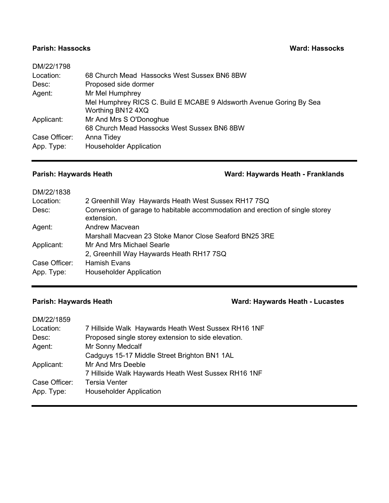### **Parish: Hassocks Ward: Hassocks**

| DM/22/1798    |                                                                     |
|---------------|---------------------------------------------------------------------|
| Location:     | 68 Church Mead Hassocks West Sussex BN6 8BW                         |
| Desc:         | Proposed side dormer                                                |
| Agent:        | Mr Mel Humphrey                                                     |
|               | Mel Humphrey RICS C. Build E MCABE 9 Aldsworth Avenue Goring By Sea |
|               | Worthing BN12 4XQ                                                   |
| Applicant:    | Mr And Mrs S O'Donoghue                                             |
|               | 68 Church Mead Hassocks West Sussex BN6 8BW                         |
| Case Officer: | Anna Tidey                                                          |
| App. Type:    | <b>Householder Application</b>                                      |
|               |                                                                     |

### **Parish: Haywards Heath Ward: Haywards Heath - Franklands**

| DM/22/1838    |                                                                                             |
|---------------|---------------------------------------------------------------------------------------------|
| Location:     | 2 Greenhill Way Haywards Heath West Sussex RH17 7SQ                                         |
| Desc:         | Conversion of garage to habitable accommodation and erection of single storey<br>extension. |
| Agent:        | Andrew Macyean                                                                              |
|               | Marshall Macvean 23 Stoke Manor Close Seaford BN25 3RE                                      |
| Applicant:    | Mr And Mrs Michael Searle                                                                   |
|               | 2, Greenhill Way Haywards Heath RH17 7SQ                                                    |
| Case Officer: | <b>Hamish Evans</b>                                                                         |
| App. Type:    | <b>Householder Application</b>                                                              |

## **Parish: Haywards Heath Ward: Haywards Heath - Lucastes**

| DM/22/1859    |                                                     |
|---------------|-----------------------------------------------------|
| Location:     | 7 Hillside Walk Haywards Heath West Sussex RH16 1NF |
| Desc:         | Proposed single storey extension to side elevation. |
| Agent:        | Mr Sonny Medcalf                                    |
|               | Cadguys 15-17 Middle Street Brighton BN1 1AL        |
| Applicant:    | Mr And Mrs Deeble                                   |
|               | 7 Hillside Walk Haywards Heath West Sussex RH16 1NF |
| Case Officer: | <b>Tersia Venter</b>                                |
| App. Type:    | <b>Householder Application</b>                      |
|               |                                                     |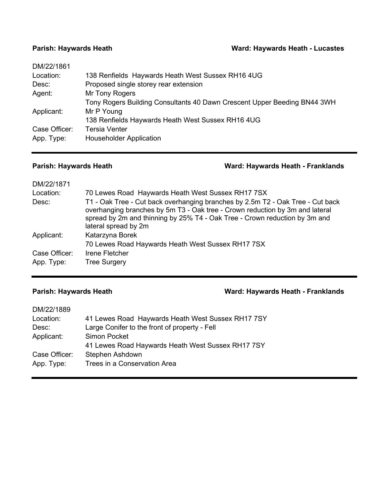### **Parish: Haywards Heath Ward: Haywards Heath - Lucastes**

| DM/22/1861    |                                                                          |
|---------------|--------------------------------------------------------------------------|
| Location:     | 138 Renfields Haywards Heath West Sussex RH16 4UG                        |
| Desc:         | Proposed single storey rear extension                                    |
| Agent:        | Mr Tony Rogers                                                           |
|               | Tony Rogers Building Consultants 40 Dawn Crescent Upper Beeding BN44 3WH |
| Applicant:    | Mr P Young                                                               |
|               | 138 Renfields Haywards Heath West Sussex RH16 4UG                        |
| Case Officer: | <b>Tersia Venter</b>                                                     |
| App. Type:    | <b>Householder Application</b>                                           |
|               |                                                                          |

### **Parish: Haywards Heath Ward: Haywards Heath - Franklands**

| 70 Lewes Road Haywards Heath West Sussex RH17 7SX                                                                                                                                                                                                                    |
|----------------------------------------------------------------------------------------------------------------------------------------------------------------------------------------------------------------------------------------------------------------------|
| T1 - Oak Tree - Cut back overhanging branches by 2.5m T2 - Oak Tree - Cut back<br>overhanging branches by 5m T3 - Oak tree - Crown reduction by 3m and lateral<br>spread by 2m and thinning by 25% T4 - Oak Tree - Crown reduction by 3m and<br>lateral spread by 2m |
| Katarzyna Borek                                                                                                                                                                                                                                                      |
| 70 Lewes Road Haywards Heath West Sussex RH17 7SX                                                                                                                                                                                                                    |
| Irene Fletcher                                                                                                                                                                                                                                                       |
| <b>Tree Surgery</b>                                                                                                                                                                                                                                                  |
|                                                                                                                                                                                                                                                                      |

### **Parish: Haywards Heath Ward: Haywards Heath - Franklands**

| 41 Lewes Road Haywards Heath West Sussex RH17 7SY |
|---------------------------------------------------|
| Large Conifer to the front of property - Fell     |
| Simon Pocket                                      |
| 41 Lewes Road Haywards Heath West Sussex RH17 7SY |
| Stephen Ashdown                                   |
| Trees in a Conservation Area                      |
|                                                   |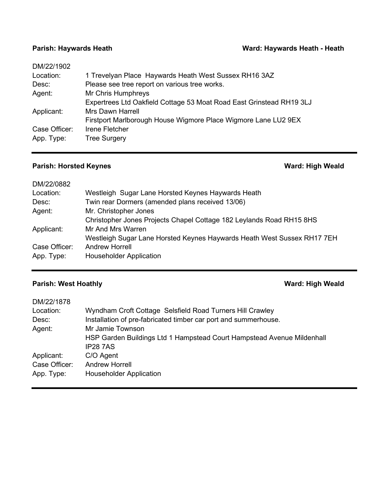### **Parish: Haywards Heath Ward: Haywards Heath - Heath**

| DM/22/1902    |                                                                      |
|---------------|----------------------------------------------------------------------|
| Location:     | 1 Trevelyan Place Haywards Heath West Sussex RH16 3AZ                |
| Desc:         | Please see tree report on various tree works.                        |
| Agent:        | Mr Chris Humphreys                                                   |
|               | Expertrees Ltd Oakfield Cottage 53 Moat Road East Grinstead RH19 3LJ |
| Applicant:    | <b>Mrs Dawn Harrell</b>                                              |
|               | Firstport Marlborough House Wigmore Place Wigmore Lane LU2 9EX       |
| Case Officer: | Irene Fletcher                                                       |
| App. Type:    | <b>Tree Surgery</b>                                                  |
|               |                                                                      |

# **Parish: Horsted Keynes Ward: High Weald**

| DM/22/0882    |                                                                         |
|---------------|-------------------------------------------------------------------------|
| Location:     | Westleigh Sugar Lane Horsted Keynes Haywards Heath                      |
| Desc:         | Twin rear Dormers (amended plans received 13/06)                        |
| Agent:        | Mr. Christopher Jones                                                   |
|               | Christopher Jones Projects Chapel Cottage 182 Leylands Road RH15 8HS    |
| Applicant:    | Mr And Mrs Warren                                                       |
|               | Westleigh Sugar Lane Horsted Keynes Haywards Heath West Sussex RH17 7EH |
| Case Officer: | <b>Andrew Horrell</b>                                                   |
| App. Type:    | <b>Householder Application</b>                                          |
|               |                                                                         |

# **Parish: West Hoathly Ward: High Weald**

| Wyndham Croft Cottage Selsfield Road Turners Hill Crawley              |
|------------------------------------------------------------------------|
| Installation of pre-fabricated timber car port and summerhouse.        |
| Mr Jamie Townson                                                       |
| HSP Garden Buildings Ltd 1 Hampstead Court Hampstead Avenue Mildenhall |
| <b>IP287AS</b>                                                         |
| C/O Agent                                                              |
| <b>Andrew Horrell</b>                                                  |
| <b>Householder Application</b>                                         |
|                                                                        |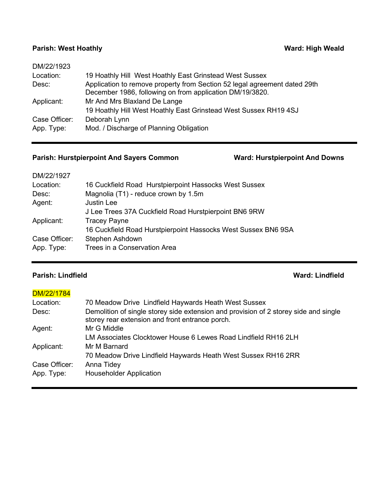### **Parish: West Hoathly <b>Ward: High Weald**

| Application to remove property from Section 52 legal agreement dated 29th |
|---------------------------------------------------------------------------|
|                                                                           |
|                                                                           |
|                                                                           |
|                                                                           |
|                                                                           |

# **Parish: Hurstpierpoint And Sayers Common Ward: Hurstpierpoint And Downs**

| DM/22/1927    |                                                               |
|---------------|---------------------------------------------------------------|
| Location:     | 16 Cuckfield Road Hurstpierpoint Hassocks West Sussex         |
| Desc:         | Magnolia (T1) - reduce crown by 1.5m                          |
| Agent:        | <b>Justin Lee</b>                                             |
|               | J Lee Trees 37A Cuckfield Road Hurstpierpoint BN6 9RW         |
| Applicant:    | <b>Tracey Payne</b>                                           |
|               | 16 Cuckfield Road Hurstpierpoint Hassocks West Sussex BN6 9SA |
| Case Officer: | Stephen Ashdown                                               |
| App. Type:    | Trees in a Conservation Area                                  |
|               |                                                               |

# **Parish: Lindfield Ward: Lindfield**

### DM/22/1784

| Location:     | 70 Meadow Drive Lindfield Haywards Heath West Sussex                                                                                    |
|---------------|-----------------------------------------------------------------------------------------------------------------------------------------|
| Desc:         | Demolition of single storey side extension and provision of 2 storey side and single<br>storey rear extension and front entrance porch. |
| Agent:        | Mr G Middle                                                                                                                             |
|               | LM Associates Clocktower House 6 Lewes Road Lindfield RH16 2LH                                                                          |
| Applicant:    | Mr M Barnard                                                                                                                            |
|               | 70 Meadow Drive Lindfield Haywards Heath West Sussex RH16 2RR                                                                           |
| Case Officer: | Anna Tidey                                                                                                                              |
| App. Type:    | <b>Householder Application</b>                                                                                                          |
|               |                                                                                                                                         |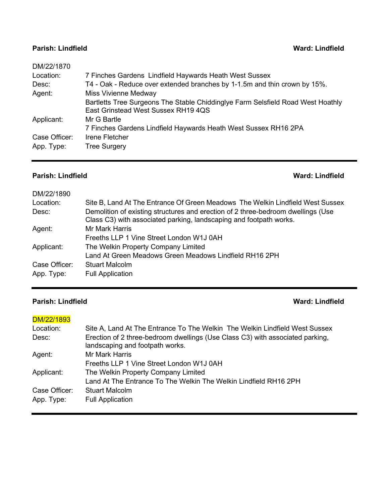### **Parish: Lindfield Ward: Lindfield**

| DM/22/1870    |                                                                                                                        |
|---------------|------------------------------------------------------------------------------------------------------------------------|
| Location:     | 7 Finches Gardens Lindfield Haywards Heath West Sussex                                                                 |
| Desc:         | T4 - Oak - Reduce over extended branches by 1-1.5m and thin crown by 15%.                                              |
| Agent:        | <b>Miss Vivienne Medway</b>                                                                                            |
|               | Bartletts Tree Surgeons The Stable Chiddinglye Farm Selsfield Road West Hoathly<br>East Grinstead West Sussex RH19 4QS |
| Applicant:    | Mr G Bartle                                                                                                            |
|               | 7 Finches Gardens Lindfield Haywards Heath West Sussex RH16 2PA                                                        |
| Case Officer: | Irene Fletcher                                                                                                         |
| App. Type:    | <b>Tree Surgery</b>                                                                                                    |
|               |                                                                                                                        |

## **Parish: Lindfield Ward: Lindfield**

| DM/22/1890    |                                                                                                                                                        |
|---------------|--------------------------------------------------------------------------------------------------------------------------------------------------------|
| Location:     | Site B, Land At The Entrance Of Green Meadows The Welkin Lindfield West Sussex                                                                         |
| Desc:         | Demolition of existing structures and erection of 2 three-bedroom dwellings (Use<br>Class C3) with associated parking, landscaping and footpath works. |
| Agent:        | <b>Mr Mark Harris</b>                                                                                                                                  |
|               | Freeths LLP 1 Vine Street London W1J 0AH                                                                                                               |
| Applicant:    | The Welkin Property Company Limited                                                                                                                    |
|               | Land At Green Meadows Green Meadows Lindfield RH16 2PH                                                                                                 |
| Case Officer: | <b>Stuart Malcolm</b>                                                                                                                                  |
| App. Type:    | <b>Full Application</b>                                                                                                                                |

## **Parish: Lindfield Ward: Lindfield**

### DM/22/1893

| Site A, Land At The Entrance To The Welkin The Welkin Lindfield West Sussex                                      |
|------------------------------------------------------------------------------------------------------------------|
| Erection of 2 three-bedroom dwellings (Use Class C3) with associated parking,<br>landscaping and footpath works. |
| <b>Mr Mark Harris</b>                                                                                            |
| Freeths LLP 1 Vine Street London W1J 0AH                                                                         |
| The Welkin Property Company Limited                                                                              |
| Land At The Entrance To The Welkin The Welkin Lindfield RH16 2PH                                                 |
| <b>Stuart Malcolm</b>                                                                                            |
| <b>Full Application</b>                                                                                          |
|                                                                                                                  |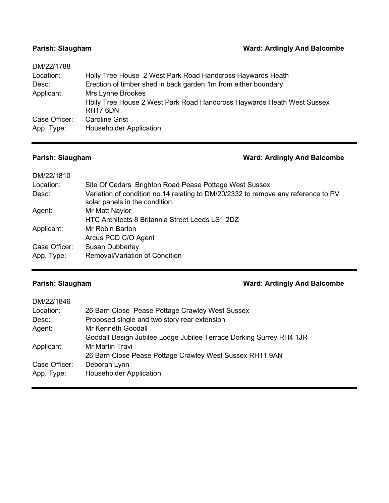### **Parish: Slaugham Parish: Slaugham Ward: Ardingly And Balcombe**

| DM/22/1788    |                                                                                           |
|---------------|-------------------------------------------------------------------------------------------|
| Location:     | Holly Tree House 2 West Park Road Handcross Haywards Heath                                |
| Desc:         | Erection of timber shed in back garden 1m from either boundary.                           |
| Applicant:    | Mrs Lynne Brookes                                                                         |
|               | Holly Tree House 2 West Park Road Handcross Haywards Heath West Sussex<br><b>RH17 6DN</b> |
| Case Officer: | <b>Caroline Grist</b>                                                                     |
| App. Type:    | <b>Householder Application</b>                                                            |

# **Parish: Slaugham Parish: Slaugham Ward: Ardingly And Balcombe**

| DM/22/1810    |                                                                                                                     |
|---------------|---------------------------------------------------------------------------------------------------------------------|
| Location:     | Site Of Cedars Brighton Road Pease Pottage West Sussex                                                              |
| Desc:         | Variation of condition no.14 relating to DM/20/2332 to remove any reference to PV<br>solar panels in the condition. |
| Agent:        | Mr Matt Naylor                                                                                                      |
|               | HTC Architects 8 Britannia Street Leeds LS1 2DZ                                                                     |
| Applicant:    | Mr Robin Barton                                                                                                     |
|               | Arcus PCD C/O Agent                                                                                                 |
| Case Officer: | <b>Susan Dubberley</b>                                                                                              |
| App. Type:    | Removal/Variation of Condition                                                                                      |

### **Parish: Slaugham Parish: Slaugham Ward: Ardingly And Balcombe**

| DM/22/1846    |                                                                     |
|---------------|---------------------------------------------------------------------|
| Location:     | 26 Barn Close Pease Pottage Crawley West Sussex                     |
| Desc:         | Proposed single and two story rear extension                        |
| Agent:        | Mr Kenneth Goodall                                                  |
|               | Goodall Design Jubilee Lodge Jubilee Terrace Dorking Surrey RH4 1JR |
| Applicant:    | Mr Martin Travi                                                     |
|               | 26 Barn Close Pease Pottage Crawley West Sussex RH11 9AN            |
| Case Officer: | Deborah Lynn                                                        |
| App. Type:    | <b>Householder Application</b>                                      |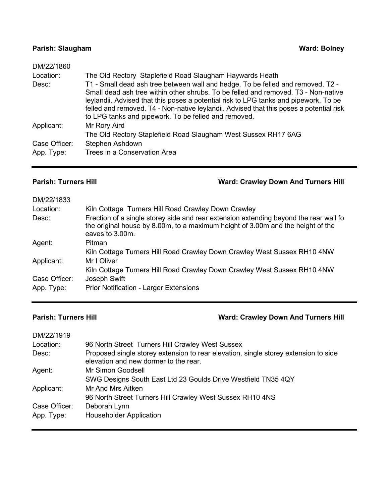### **Parish: Slaugham Ward: Bolney**

| DM/22/1860    |                                                                                                                                                                                                                                                                                                                                                                                                                  |
|---------------|------------------------------------------------------------------------------------------------------------------------------------------------------------------------------------------------------------------------------------------------------------------------------------------------------------------------------------------------------------------------------------------------------------------|
| Location:     | The Old Rectory Staplefield Road Slaugham Haywards Heath                                                                                                                                                                                                                                                                                                                                                         |
| Desc:         | T1 - Small dead ash tree between wall and hedge. To be felled and removed. T2 -<br>Small dead ash tree within other shrubs. To be felled and removed. T3 - Non-native<br>leylandii. Advised that this poses a potential risk to LPG tanks and pipework. To be<br>felled and removed. T4 - Non-native leylandii. Advised that this poses a potential risk<br>to LPG tanks and pipework. To be felled and removed. |
| Applicant:    | Mr Rory Aird<br>The Old Rectory Staplefield Road Slaugham West Sussex RH17 6AG                                                                                                                                                                                                                                                                                                                                   |
| Case Officer: | Stephen Ashdown                                                                                                                                                                                                                                                                                                                                                                                                  |
| App. Type:    | Trees in a Conservation Area                                                                                                                                                                                                                                                                                                                                                                                     |

**Parish: Turners Hill Ward: Crawley Down And Turners Hill**

| DM/22/1833    |                                                                                                                                                                                             |
|---------------|---------------------------------------------------------------------------------------------------------------------------------------------------------------------------------------------|
| Location:     | Kiln Cottage Turners Hill Road Crawley Down Crawley                                                                                                                                         |
| Desc:         | Erection of a single storey side and rear extension extending beyond the rear wall fo<br>the original house by 8.00m, to a maximum height of 3.00m and the height of the<br>eaves to 3.00m. |
| Agent:        | Pitman                                                                                                                                                                                      |
|               | Kiln Cottage Turners Hill Road Crawley Down Crawley West Sussex RH10 4NW                                                                                                                    |
| Applicant:    | Mr I Oliver                                                                                                                                                                                 |
|               | Kiln Cottage Turners Hill Road Crawley Down Crawley West Sussex RH10 4NW                                                                                                                    |
| Case Officer: | Joseph Swift                                                                                                                                                                                |
| App. Type:    | <b>Prior Notification - Larger Extensions</b>                                                                                                                                               |

# **Parish: Turners Hill Ward: Crawley Down And Turners Hill**

| DM/22/1919    |                                                                                                                              |
|---------------|------------------------------------------------------------------------------------------------------------------------------|
| Location:     | 96 North Street Turners Hill Crawley West Sussex                                                                             |
| Desc:         | Proposed single storey extension to rear elevation, single storey extension to side<br>elevation and new dormer to the rear. |
| Agent:        | Mr Simon Goodsell                                                                                                            |
|               | SWG Designs South East Ltd 23 Goulds Drive Westfield TN35 4QY                                                                |
| Applicant:    | Mr And Mrs Aitken                                                                                                            |
|               | 96 North Street Turners Hill Crawley West Sussex RH10 4NS                                                                    |
| Case Officer: | Deborah Lynn                                                                                                                 |
| App. Type:    | <b>Householder Application</b>                                                                                               |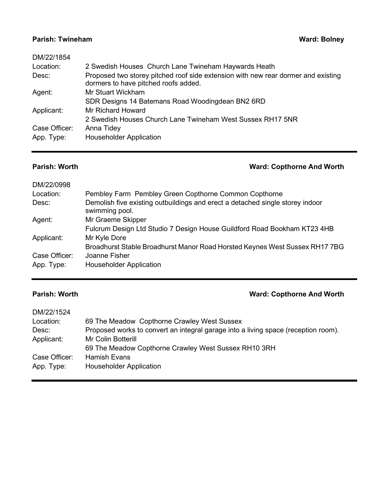### **Parish: Twineham Ward: Bolney Ward: Bolney**

| DM/22/1854<br>Location:<br>Desc: | 2 Swedish Houses Church Lane Twineham Haywards Heath<br>Proposed two storey pitched roof side extension with new rear dormer and existing |
|----------------------------------|-------------------------------------------------------------------------------------------------------------------------------------------|
|                                  | dormers to have pitched roofs added.                                                                                                      |
| Agent:                           | Mr Stuart Wickham                                                                                                                         |
|                                  | SDR Designs 14 Batemans Road Woodingdean BN2 6RD                                                                                          |
| Applicant:                       | Mr Richard Howard                                                                                                                         |
|                                  | 2 Swedish Houses Church Lane Twineham West Sussex RH17 5NR                                                                                |
| Case Officer:                    | Anna Tidey                                                                                                                                |
| App. Type:                       | <b>Householder Application</b>                                                                                                            |

# **Parish: Worth Ward: Copthorne And Worth**

| DM/22/0998    |                                                                                                 |
|---------------|-------------------------------------------------------------------------------------------------|
| Location:     | Pembley Farm Pembley Green Copthorne Common Copthorne                                           |
| Desc:         | Demolish five existing outbuildings and erect a detached single storey indoor<br>swimming pool. |
| Agent:        | Mr Graeme Skipper                                                                               |
|               | Fulcrum Design Ltd Studio 7 Design House Guildford Road Bookham KT23 4HB                        |
| Applicant:    | Mr Kyle Dore                                                                                    |
|               | Broadhurst Stable Broadhurst Manor Road Horsted Keynes West Sussex RH17 7BG                     |
| Case Officer: | Joanne Fisher                                                                                   |
| App. Type:    | <b>Householder Application</b>                                                                  |

# **Parish: Worth Ward: Copthorne And Worth**

| DM/22/1524    |                                                                                    |
|---------------|------------------------------------------------------------------------------------|
| Location:     | 69 The Meadow Copthorne Crawley West Sussex                                        |
| Desc:         | Proposed works to convert an integral garage into a living space (reception room). |
| Applicant:    | Mr Colin Botterill                                                                 |
|               | 69 The Meadow Copthorne Crawley West Sussex RH10 3RH                               |
| Case Officer: | <b>Hamish Evans</b>                                                                |
| App. Type:    | <b>Householder Application</b>                                                     |